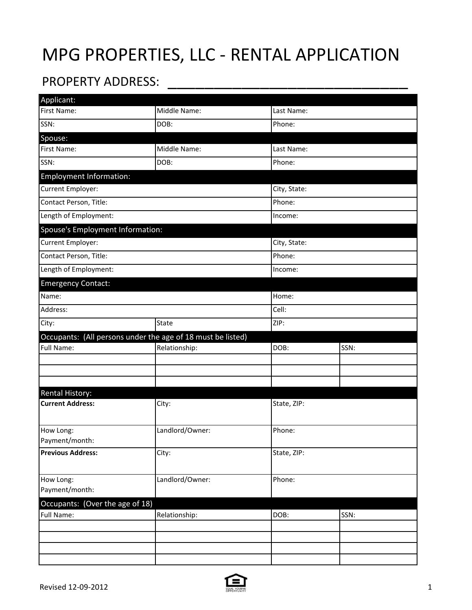## MPG PROPERTIES, LLC - RENTAL APPLICATION

## PROPERTY ADDRESS:

| Applicant:                                                  |                 |              |            |  |
|-------------------------------------------------------------|-----------------|--------------|------------|--|
| First Name:                                                 | Middle Name:    | Last Name:   |            |  |
| SSN:                                                        | DOB:            | Phone:       |            |  |
| Spouse:                                                     |                 |              |            |  |
| First Name:                                                 | Middle Name:    |              | Last Name: |  |
| SSN:                                                        | DOB:            |              | Phone:     |  |
| <b>Employment Information:</b>                              |                 |              |            |  |
| Current Employer:                                           |                 | City, State: |            |  |
| Contact Person, Title:                                      |                 | Phone:       |            |  |
| Length of Employment:                                       |                 | Income:      |            |  |
| Spouse's Employment Information:                            |                 |              |            |  |
| Current Employer:                                           |                 | City, State: |            |  |
| Contact Person, Title:                                      |                 | Phone:       |            |  |
| Length of Employment:                                       |                 | Income:      |            |  |
| <b>Emergency Contact:</b>                                   |                 |              |            |  |
| Name:                                                       |                 | Home:        |            |  |
| Address:                                                    |                 | Cell:        |            |  |
| City:                                                       | State           | ZIP:         |            |  |
|                                                             |                 |              |            |  |
| Occupants: (All persons under the age of 18 must be listed) |                 |              |            |  |
| Full Name:                                                  | Relationship:   | DOB:         | SSN:       |  |
|                                                             |                 |              |            |  |
|                                                             |                 |              |            |  |
|                                                             |                 |              |            |  |
| <b>Rental History:</b><br><b>Current Address:</b>           |                 | State, ZIP:  |            |  |
|                                                             | City:           |              |            |  |
| How Long:                                                   |                 |              |            |  |
| Payment/month:                                              | Landlord/Owner: | Phone:       |            |  |
| <b>Previous Address:</b>                                    | City:           | State, ZIP:  |            |  |
|                                                             |                 |              |            |  |
| How Long:                                                   | Landlord/Owner: | Phone:       |            |  |
| Payment/month:                                              |                 |              |            |  |
| Occupants: (Over the age of 18)                             |                 |              |            |  |
| Full Name:                                                  | Relationship:   | DOB:         | SSN:       |  |
|                                                             |                 |              |            |  |
|                                                             |                 |              |            |  |